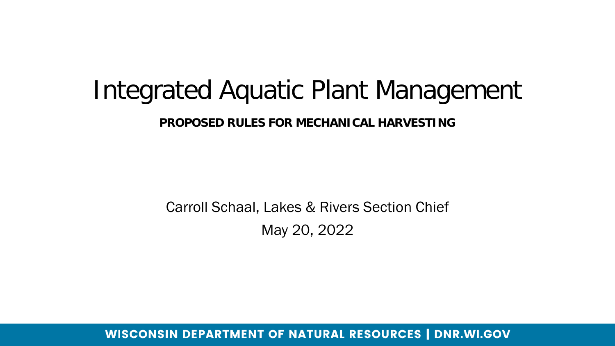### Integrated Aquatic Plant Management

**PROPOSED RULES FOR MECHANICAL HARVESTING** 

Carroll Schaal, Lakes & Rivers Section Chief May 20, 2022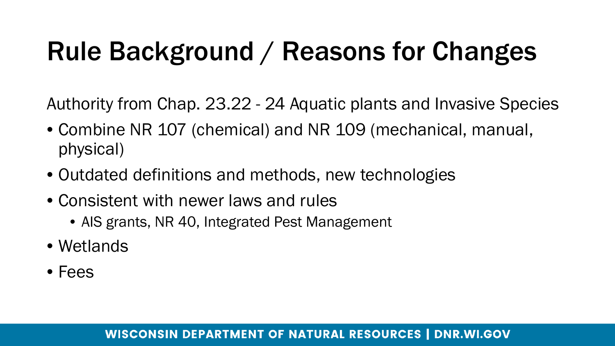## Rule Background / Reasons for Changes

Authority from Chap. 23.22 - 24 Aquatic plants and Invasive Species

- Combine NR 107 (chemical) and NR 109 (mechanical, manual, physical)
- Outdated definitions and methods, new technologies
- Consistent with newer laws and rules
	- AIS grants, NR 40, Integrated Pest Management
- Wetlands
- Fees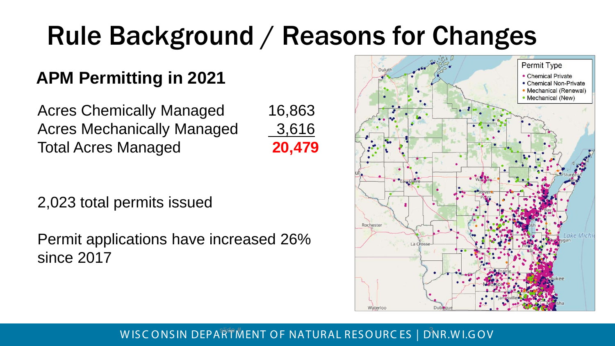## Rule Background / Reasons for Changes

### **APM Permitting in 2021**

Acres Chemically Managed 16,863 Acres Mechanically Managed 3,616 Total Acres Managed **20,479**



2,023 total permits issued

Permit applications have increased 26% since 2017

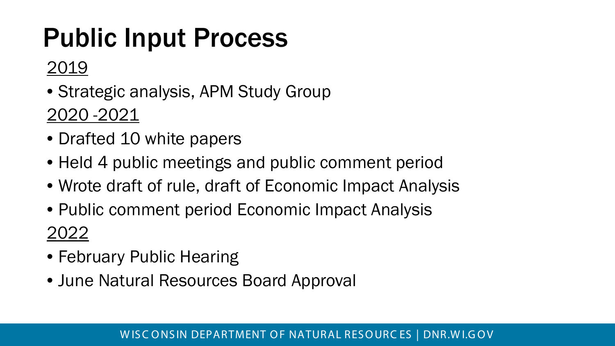## Public Input Process

### 2019

• Strategic analysis, APM Study Group

2020 -2021

- Drafted 10 white papers
- Held 4 public meetings and public comment period
- Wrote draft of rule, draft of Economic Impact Analysis
- Public comment period Economic Impact Analysis 2022
- February Public Hearing
- June Natural Resources Board Approval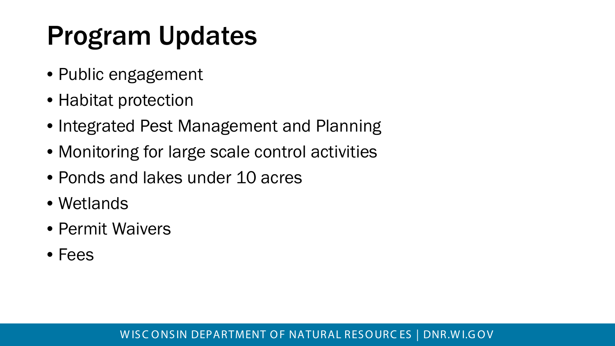## Program Updates

- Public engagement
- Habitat protection
- Integrated Pest Management and Planning
- Monitoring for large scale control activities
- Ponds and lakes under 10 acres
- Wetlands
- Permit Waivers
- Fees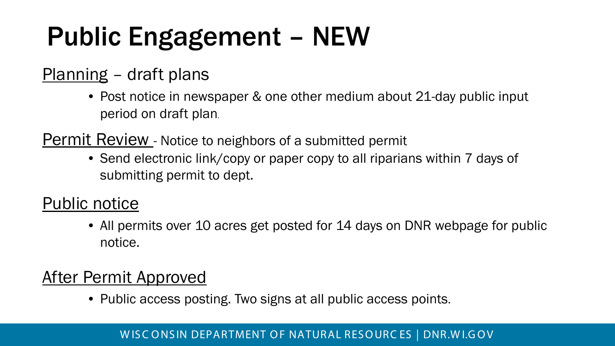## Public Engagement – NEW

### Planning – draft plans

• Post notice in newspaper & one other medium about 21-day public input period on draft plan.

Permit Review - Notice to neighbors of a submitted permit

• Send electronic link/copy or paper copy to all riparians within 7 days of submitting permit to dept.

#### Public notice

• All permits over 10 acres get posted for 14 days on DNR webpage for public notice.

### After Permit Approved

• Public access posting. Two signs at all public access points.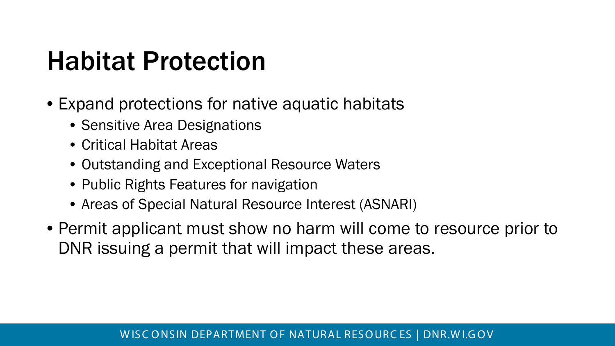### Habitat Protection

- Expand protections for native aquatic habitats
	- Sensitive Area Designations
	- Critical Habitat Areas
	- Outstanding and Exceptional Resource Waters
	- Public Rights Features for navigation
	- Areas of Special Natural Resource Interest (ASNARI)
- Permit applicant must show no harm will come to resource prior to DNR issuing a permit that will impact these areas.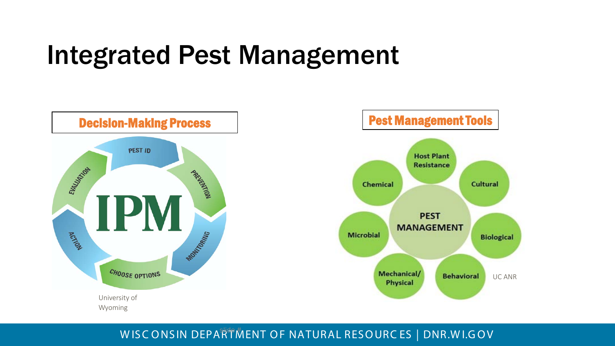### Integrated Pest Management

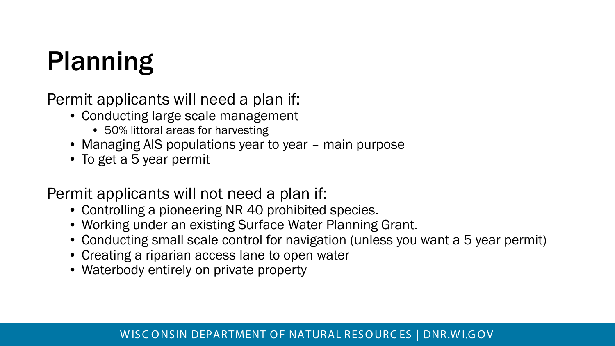## Planning

Permit applicants will need a plan if:

- Conducting large scale management
	- 50% littoral areas for harvesting
- Managing AIS populations year to year main purpose
- To get a 5 year permit

Permit applicants will not need a plan if:

- Controlling a pioneering NR 40 prohibited species.
- Working under an existing Surface Water Planning Grant.
- Conducting small scale control for navigation (unless you want a 5 year permit)
- Creating a riparian access lane to open water
- Waterbody entirely on private property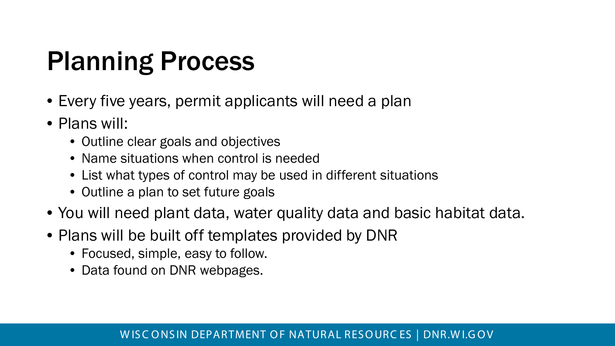### Planning Process

- Every five years, permit applicants will need a plan
- Plans will:
	- Outline clear goals and objectives
	- Name situations when control is needed
	- List what types of control may be used in different situations
	- Outline a plan to set future goals
- You will need plant data, water quality data and basic habitat data.
- Plans will be built off templates provided by DNR
	- Focused, simple, easy to follow.
	- Data found on DNR webpages.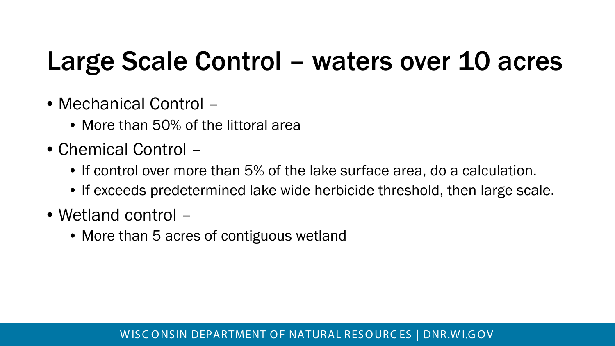## Large Scale Control – waters over 10 acres

- Mechanical Control
	- More than 50% of the littoral area
- Chemical Control
	- If control over more than 5% of the lake surface area, do a calculation.
	- If exceeds predetermined lake wide herbicide threshold, then large scale.
- Wetland control
	- More than 5 acres of contiguous wetland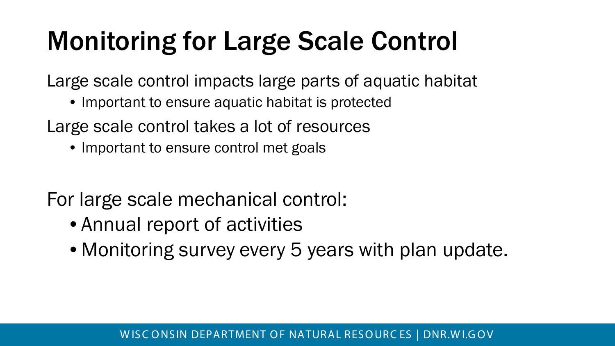## Monitoring for Large Scale Control

Large scale control impacts large parts of aquatic habitat

• Important to ensure aquatic habitat is protected

Large scale control takes a lot of resources

• Important to ensure control met goals

For large scale mechanical control:

- Annual report of activities
- Monitoring survey every 5 years with plan update.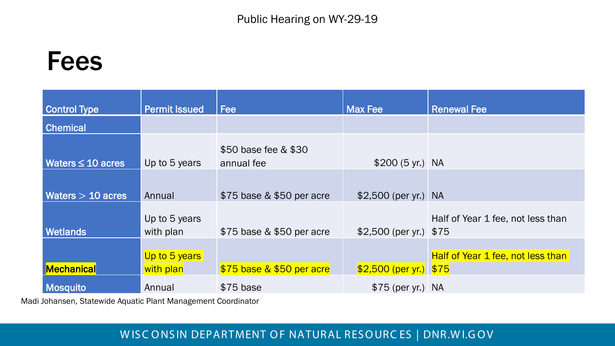#### Public Hearing on WY-29-19

### Fees

| <b>Control Type</b>    | <b>Permit Issued</b>       | <b>Fee</b>                         | <b>Max Fee</b>           | <b>Renewal Fee</b>                       |
|------------------------|----------------------------|------------------------------------|--------------------------|------------------------------------------|
| <b>Chemical</b>        |                            |                                    |                          |                                          |
| Waters $\leq 10$ acres | Up to 5 years              | \$50 base fee & \$30<br>annual fee | $$200 (5 yr.)$ NA        |                                          |
| Waters $> 10$ acres    | Annual                     | \$75 base & \$50 per acre          | $$2,500$ (per yr.) NA    |                                          |
| <b>Wetlands</b>        | Up to 5 years<br>with plan | \$75 base & \$50 per acre          | $$2,500$ (per yr.) $$75$ | Half of Year 1 fee, not less than        |
| Mechanical             | Up to 5 years<br>with plan | \$75 base & \$50 per acre          | $$2,500$ (per yr.) $$75$ | <b>Half of Year 1 fee, not less than</b> |
| <b>Mosquito</b>        | Annual                     | $$75$ base                         | $$75$ (per yr.) NA       |                                          |

Madi Johansen, Statewide Aquatic Plant Management Coordinator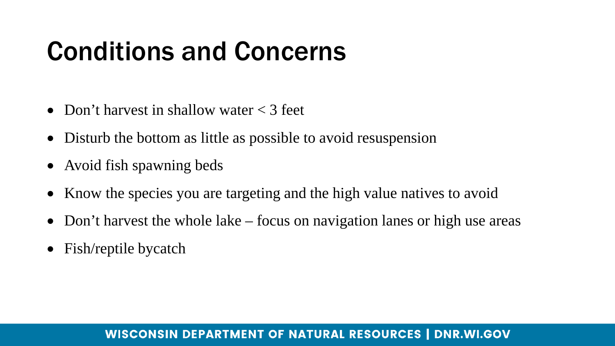### Conditions and Concerns

- Don't harvest in shallow water  $\lt 3$  feet
- Disturb the bottom as little as possible to avoid resuspension
- Avoid fish spawning beds
- Know the species you are targeting and the high value natives to avoid
- Don't harvest the whole lake focus on navigation lanes or high use areas
- Fish/reptile bycatch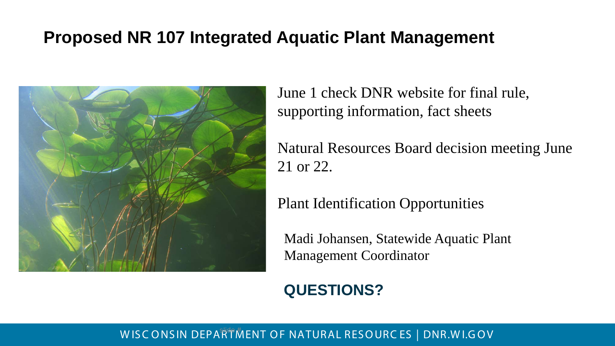#### **Proposed NR 107 Integrated Aquatic Plant Management**



June 1 check DNR website for final rule, supporting information, fact sheets

Natural Resources Board decision meeting June 21 or 22.

Plant Identification Opportunities

Madi Johansen, Statewide Aquatic Plant Management Coordinator

#### **QUESTIONS?**